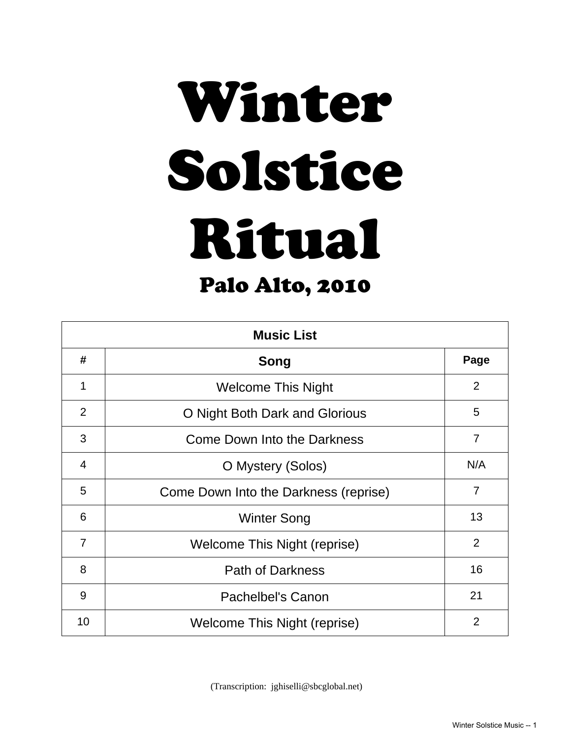## Winter Solstice Ritual Palo Alto, 2010

| <b>Music List</b> |                                       |                |
|-------------------|---------------------------------------|----------------|
| #                 | Song                                  | Page           |
| 1                 | <b>Welcome This Night</b>             | 2              |
| 2                 | O Night Both Dark and Glorious        | 5              |
| 3                 | <b>Come Down Into the Darkness</b>    | $\overline{7}$ |
| 4                 | O Mystery (Solos)                     | N/A            |
| 5                 | Come Down Into the Darkness (reprise) | $\overline{7}$ |
| 6                 | <b>Winter Song</b>                    | 13             |
| $\overline{7}$    | Welcome This Night (reprise)          | 2              |
| 8                 | <b>Path of Darkness</b>               | 16             |
| 9                 | <b>Pachelbel's Canon</b>              | 21             |
| 10                | Welcome This Night (reprise)          | $\overline{2}$ |

(Transcription: jghiselli@sbcglobal.net)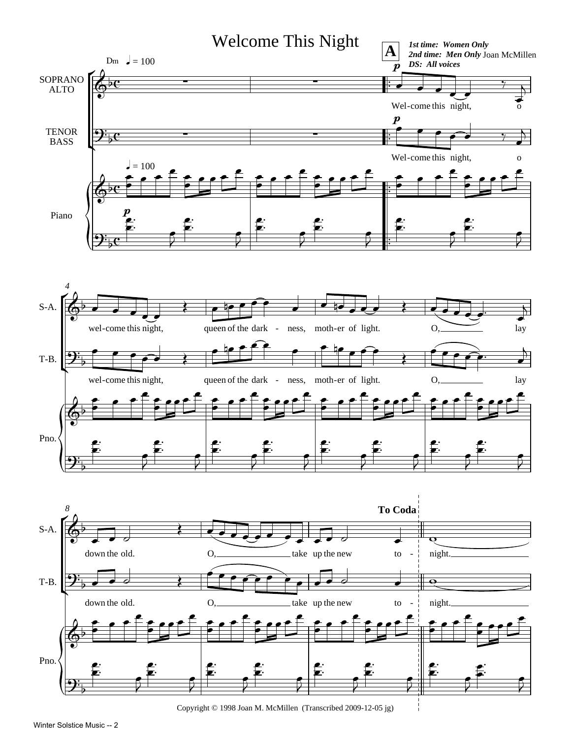



Copyright © 1998 Joan M. McMillen (Transcribed 2009-12-05 jg)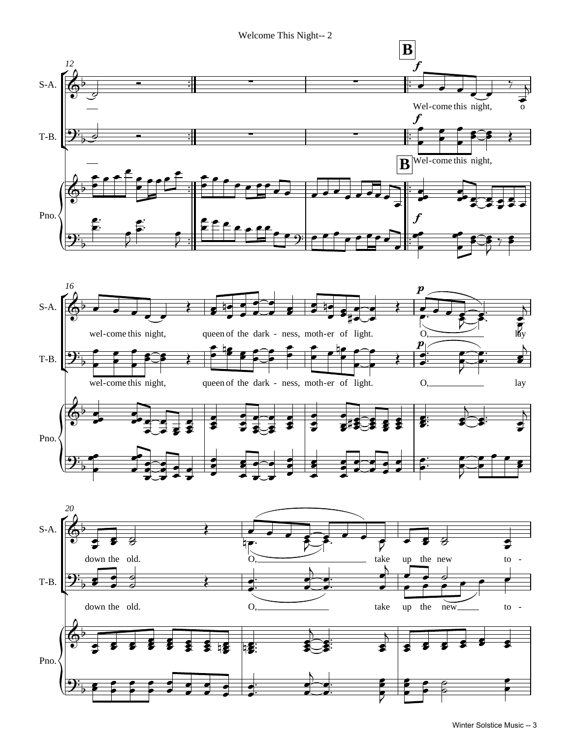

![](_page_2_Figure_2.jpeg)

![](_page_2_Figure_3.jpeg)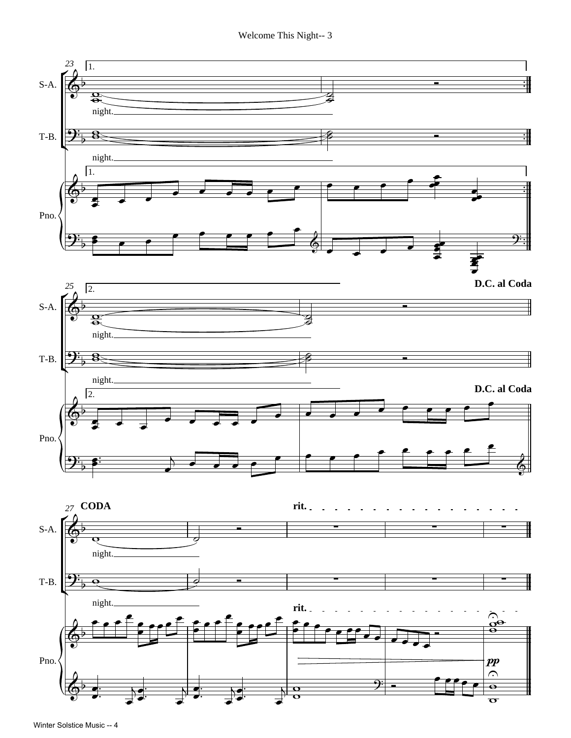![](_page_3_Figure_1.jpeg)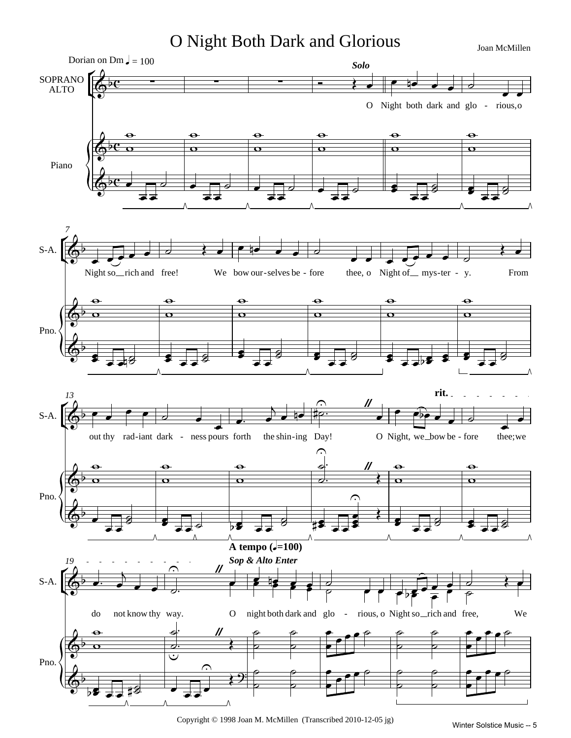## O Night Both Dark and Glorious Joan McMillen

![](_page_4_Figure_2.jpeg)

Copyright © 1998 Joan M. McMillen (Transcribed 2010-12-05 jg)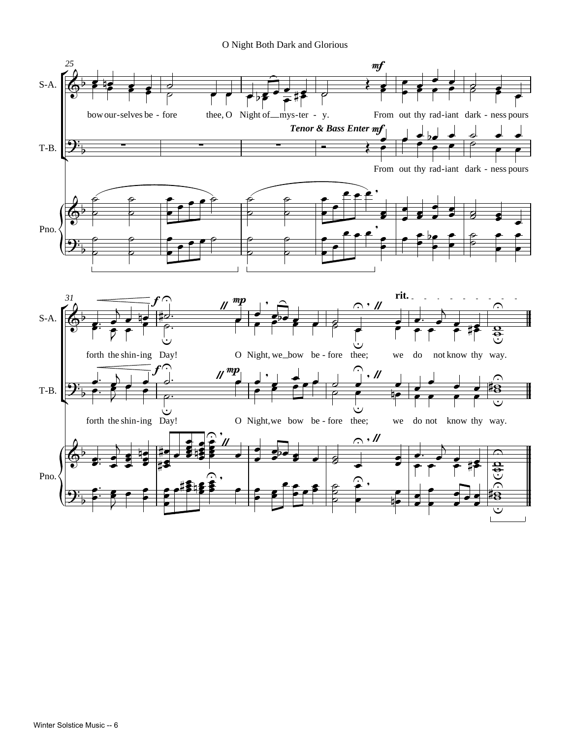![](_page_5_Figure_1.jpeg)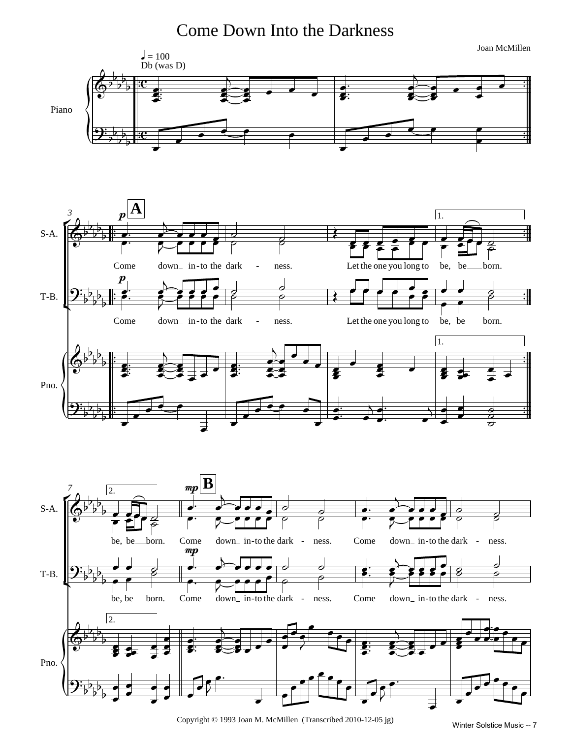Come Down Into the Darkness

É ľ É ľ 3  $\overline{\phantom{a}}$ .<br>3 3  $\frac{1}{2}$  $\frac{1}{2}$  $\frac{1}{2}$  $\frac{1}{2}$ Piano  $\mathsf{J} = 100$  $\frac{1}{2}$  $\frac{1}{2}$  $\frac{1}{2}$  $\frac{1}{2}$  $\frac{1}{2}$  $\frac{1}{2}$  $\frac{1}{2}$  $\frac{1}{2}$  $\frac{1}{2}$  $\frac{1}{2}$  $\frac{1}{2}$  $\frac{1}{2}$  $\frac{1}{2}$  $\frac{1}{2}$  $\frac{1}{2}$  $\frac{1}{2}$ S-A. T-B. Pno. Come p down in-to-the dark - ness. Let the one you long to be, be born.  $\mathbf{p}$   $\mathbf{A}$   $\mathbf{I}$ Come p down in-to-the dark - ness. Let the one you long to be, be born. 1. S-A. T-B. Pno. born. Come  $m<sub>L</sub>$ down in-to-the dark - ness. Come down in-to-the dark - ness.  $\frac{7}{2}$  <u>2. **B**</u> be, be born. Come mp down in-to-the-dark - ness. Come down in-to-the-dark - ness. 2.  $\overline{\rm e}$  $\overline{\text{e}}$  $\overline{\mathbb{Q}^{\flat}}$  $\frac{1}{2}$  $\overline{b}$  $\frac{1}{2}$  $\frac{1}{2}$ Db (was D) Joan McMillen  $\mathbf{\mathcal{Y}}^{\mathbf{:}}_{\flat}$  $\overline{P}$  $\overline{b}$  $\overline{P}$  $\overline{P}$  $\overline{\mathbb{Q}^{\flat}}$  $\frac{1}{2}$  $\overline{b}$  $\frac{1}{2}$  $\overline{\mathbf{b}}$  $\mathbf{\mathcal{G}}^{\mathbf{\cdot}}_{\flat}$  $\overline{P}$  $\overline{b}$  $\frac{1}{2}$  $\overline{\mathbf{b}}$  $\overline{\mathbb{Q}^{\flat}}$  $\frac{1}{2}$  $\overline{b}$  $\frac{1}{2}$  $\overline{2}$  $\mathbf{\mathcal{Y}}^{\mathbf{:}}_{\flat}$  $\overline{P}$  $\overline{b}$  $\overline{2}$  $\overline{\flat}$  $\overline{\mathbb{Q}^{\flat}}$  $\frac{1}{2}$  $\overline{b}$  $\frac{1}{2}$  $\frac{1}{2}$  $\mathbf{\mathcal{Y}}^{\mathbf{:}}_{\flat}$  $\overline{P}$  $\frac{1}{2}$  $\overline{P}$  $\overline{\flat}$  $\overline{\mathbb{G}^{\flat}}$  $\frac{1}{2}$  $\overline{b}$  $\frac{1}{2}$  $\overline{2}$  $\mathbf{\mathcal{G}}^{\mathbf{\cdot}}_{\flat}$  $\overline{P}$  $\frac{1}{2}$  $\overline{P}$  $\overline{b}$ Į  $\overline{\bullet}$  $\frac{1}{2}$  $\frac{1}{2}$  $\frac{1}{2}$  $\overline{\mathbf{z}}$  $\overline{\phantom{a}}$ Ŋ ă  $\frac{2}{3}$   $\bullet$  $\overline{\phantom{a}}$  $\overline{\phantom{a}}$  $\frac{1}{2}$  $\frac{1}{2}$  $\bullet$  $\overline{\phantom{a}}$  $\overline{B}$  $\frac{1}{2}$  $\bullet$  $\frac{1}{2}$  $\overline{\phantom{a}}$   $\blacksquare$  $\frac{1}{\rho}$ .  $\frac{1}{\rho}$  $\overline{a}$ e<br>Ç  $\xi$  $\frac{1}{2}$  $\frac{\partial}{\partial \varphi}$  $\frac{1}{\frac{1}{\sqrt{1-\frac{1}{\sqrt{1-\frac{1}{\sqrt{1-\frac{1}{\sqrt{1-\frac{1}{\sqrt{1-\frac{1}{\sqrt{1-\frac{1}{\sqrt{1-\frac{1}{\sqrt{1-\frac{1}{\sqrt{1-\frac{1}{\sqrt{1-\frac{1}{\sqrt{1-\frac{1}{\sqrt{1-\frac{1}{\sqrt{1-\frac{1}{\sqrt{1-\frac{1}{\sqrt{1-\frac{1}{\sqrt{1-\frac{1}{\sqrt{1-\frac{1}{\sqrt{1-\frac{1}{\sqrt{1-\frac{1}{\sqrt{1-\frac{1}{\sqrt{1-\frac{1}{\sqrt{1-\frac{1}{\sqrt{1-\frac{1}{\sqrt{$  $\overline{b}$  $\overline{\bullet}$  $\frac{1}{2}$  ,  $\frac{1}{2}$  ,  $\frac{1}{2}$  $\frac{d}{d}$  $\frac{1}{2}$  $\frac{1}{2}$  $\frac{1}{2}$ Į **Se**  $\frac{1}{2}$  $\frac{1}{2}$  $\frac{1}{2}$ **S**  $\overline{\phantom{0}}$  $\overline{ }$ ă  $\bullet$  $\overline{\bullet}$  $\frac{1}{2}$   $\frac{1}{2}$   $\frac{1}{2}$ **Se**  $\frac{1}{2}$  $\frac{1}{2}$  $\frac{1}{2}$  $\bullet$  $\frac{1}{\bullet}$  $\overline{a}$  $\bullet$  $\bullet$  $\begin{array}{c} \begin{array}{c} \bullet \\ \bullet \\ \bullet \end{array} \end{array}$ ş  $\frac{1}{2}$ **Sel**  $\frac{2}{3}$   $\frac{2}{3}$  $\overline{\bullet}$  $\frac{1}{2}$  $\begin{array}{c}\n\bullet \\
\bullet \\
\bullet\n\end{array}$  $\int$  $\frac{1}{2}$  $\frac{1}{2}$  $\frac{1}{\bullet}$  $\frac{1}{\sqrt{1-\frac{1}{2}}}$  $\overline{b}$  $\overline{\bullet}$  $\overline{\phantom{0}}$  $\overline{1}$  $\frac{1}{\sqrt{2}}$  $\frac{1}{\sqrt{2}}$  $\ddot{\phantom{a}}$  $\frac{1}{2}$  $\partial$  $\mathsf{S}^{\mathsf{O}}$  $\frac{1}{2}$  $\overline{\phantom{a}}$ a a<br>F C  $\frac{1}{2}$  $\frac{\partial}{\partial \varphi}$  $\frac{1}{\bullet}$  $\frac{1}{\sqrt{1-\frac{1}{\sqrt{1-\frac{1}{\sqrt{1-\frac{1}{\sqrt{1-\frac{1}{\sqrt{1-\frac{1}{\sqrt{1-\frac{1}{\sqrt{1-\frac{1}{\sqrt{1-\frac{1}{\sqrt{1-\frac{1}{\sqrt{1-\frac{1}{\sqrt{1-\frac{1}{\sqrt{1-\frac{1}{\sqrt{1-\frac{1}{\sqrt{1-\frac{1}{\sqrt{1-\frac{1}{\sqrt{1-\frac{1}{\sqrt{1-\frac{1}{\sqrt{1-\frac{1}{\sqrt{1-\frac{1}{\sqrt{1-\frac{1}{\sqrt{1-\frac{1}{\sqrt{1-\frac{1}{\sqrt{1-\frac{1}{\sqrt{1-\frac{1$  $\overline{A}$  $\frac{1}{2}$ 7  $\frac{1}{\sqrt{1-\frac{1}{\sqrt{1-\frac{1}{\sqrt{1-\frac{1}{\sqrt{1-\frac{1}{\sqrt{1-\frac{1}{\sqrt{1-\frac{1}{\sqrt{1-\frac{1}{\sqrt{1-\frac{1}{\sqrt{1-\frac{1}{\sqrt{1-\frac{1}{\sqrt{1-\frac{1}{\sqrt{1-\frac{1}{\sqrt{1-\frac{1}{\sqrt{1-\frac{1}{\sqrt{1-\frac{1}{\sqrt{1-\frac{1}{\sqrt{1-\frac{1}{\sqrt{1-\frac{1}{\sqrt{1-\frac{1}{\sqrt{1-\frac{1}{\sqrt{1-\frac{1}{\sqrt{1-\frac{1}{\sqrt{1-\frac{1}{\sqrt{1-\frac{1$  $\frac{1}{2}$  $\circ$   $\circ$   $\circ$  $\overline{a}$ o<br>J  $\rho$  and  $\rho$  $\overline{\phantom{0}}$  $\overline{\phantom{a}}$  $\begin{array}{ccc} \bullet & \bullet \\ \bullet & \bullet \\ \bullet & \bullet \end{array}$  $\frac{1}{\sqrt{1-\frac{1}{\sqrt{1-\frac{1}{\sqrt{1-\frac{1}{\sqrt{1-\frac{1}{\sqrt{1-\frac{1}{\sqrt{1-\frac{1}{\sqrt{1-\frac{1}{\sqrt{1-\frac{1}{\sqrt{1-\frac{1}{\sqrt{1-\frac{1}{\sqrt{1-\frac{1}{\sqrt{1-\frac{1}{\sqrt{1-\frac{1}{\sqrt{1-\frac{1}{\sqrt{1-\frac{1}{\sqrt{1-\frac{1}{\sqrt{1-\frac{1}{\sqrt{1-\frac{1}{\sqrt{1-\frac{1}{\sqrt{1-\frac{1}{\sqrt{1-\frac{1}{\sqrt{1-\frac{1}{\sqrt{1-\frac{1}{\sqrt{1-\frac{1$ 2  $\frac{1}{2}$  $\overline{\mathbf{b}}$  $\frac{1}{\sqrt{1-\frac{1}{\sqrt{1-\frac{1}{\sqrt{1-\frac{1}{\sqrt{1-\frac{1}{\sqrt{1-\frac{1}{\sqrt{1-\frac{1}{\sqrt{1-\frac{1}{\sqrt{1-\frac{1}{\sqrt{1-\frac{1}{\sqrt{1-\frac{1}{\sqrt{1-\frac{1}{\sqrt{1-\frac{1}{\sqrt{1-\frac{1}{\sqrt{1-\frac{1}{\sqrt{1-\frac{1}{\sqrt{1-\frac{1}{\sqrt{1-\frac{1}{\sqrt{1-\frac{1}{\sqrt{1-\frac{1}{\sqrt{1-\frac{1}{\sqrt{1-\frac{1}{\sqrt{1-\frac{1}{\sqrt{1-\frac{1}{\sqrt{1-\frac{1$  $\frac{1}{\rho}$  s: s  $\overline{a}$  $\overline{\bullet}$  $rac{1}{2}$  $\frac{1}{\sqrt{2}}$  $\frac{\partial}{\partial \rho}$ Ş ş  $rac{1}{2}$  $\frac{1}{2}$  $\bullet$  $\begin{array}{|c|c|c|}\hline \bullet&\bullet \end{array}$  $\bullet$  $\overline{\phantom{0}}$  $\frac{1}{2}$  $\frac{1}{2}$  $\frac{1}{\frac{1}{2}}$  $\bullet$  $\frac{1}{2}$  $\overline{a}$  $\ddot{\bm{s}}$  $\bullet$  $\overline{\phantom{a}}$  $\overline{\phantom{a}}$  $\frac{1}{\sqrt{2}}$ ₹  $rac{1}{\sqrt{2}}$ **SP**  $\frac{1}{2}$  $\frac{1}{2}$  $\frac{1}{2}$ **SA**  $\overline{\bullet}$ Ŋ  $\frac{2}{3}$ **SP**  $\overline{\bullet}$  $\frac{1}{2}$ ģ  $\frac{1}{2}$  $\frac{1}{\sqrt{2}}$  $\frac{1}{\sqrt{2}}$  $\overline{\phantom{a}}$  $\ddot{\cdot}$  $\overline{\phantom{0}}$  $\overline{\phantom{a}}$  $\frac{1}{\sqrt{2}}$  $\frac{1}{\sqrt{2}}$ ₹  $\bullet$ .  $\begin{array}{|c|c|c|c|}\hline & & & & & & & \\ \hline & & & & & & & \\ \hline & & & & & & & \\ \hline & & & & & & & \\ \hline & & & & & & & \\ \hline & & & & & & & \\ \hline & & & & & & & \\ \hline & & & & & & & \\ \hline & & & & & & & & \\ \hline \end{array}$ ₹  $\bullet$ :  $\frac{1}{2}$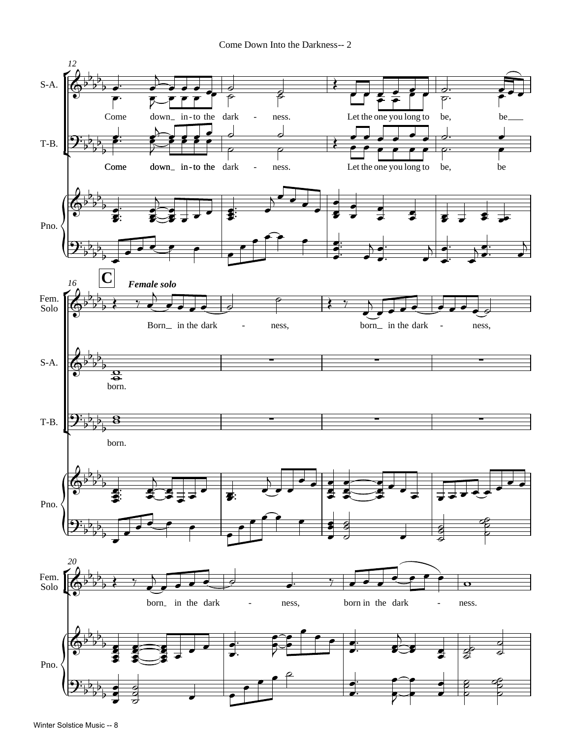![](_page_7_Figure_1.jpeg)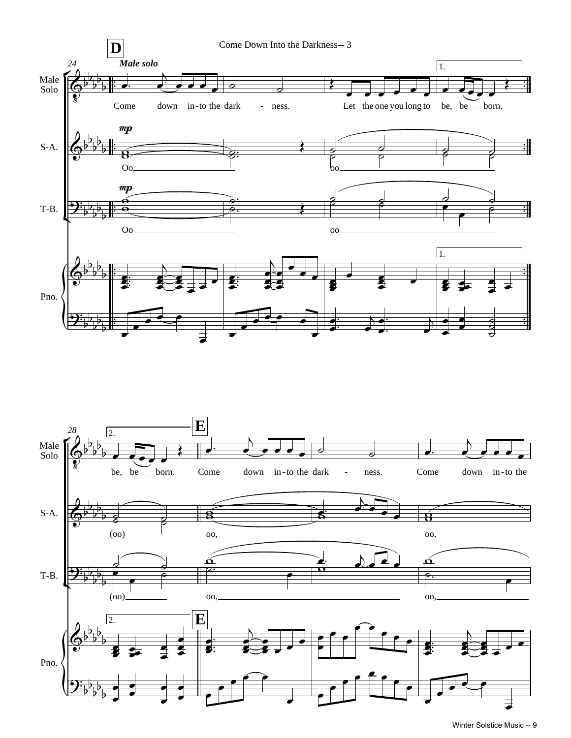![](_page_8_Figure_0.jpeg)

![](_page_8_Figure_1.jpeg)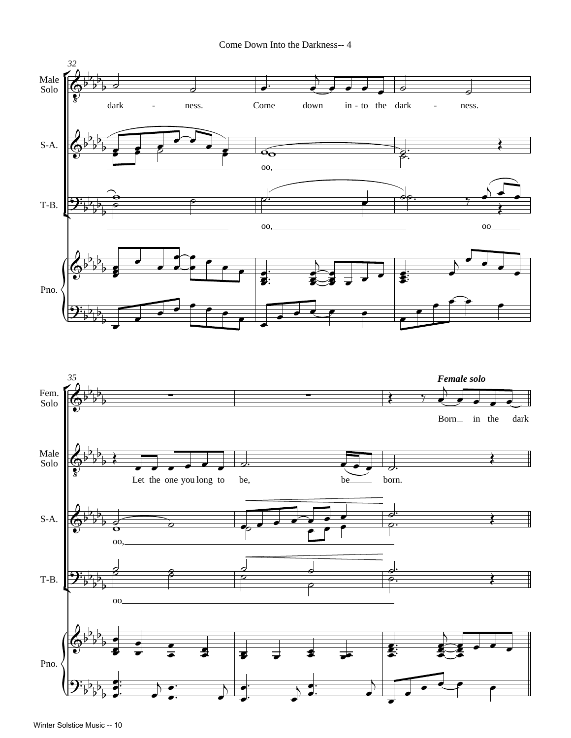![](_page_9_Figure_1.jpeg)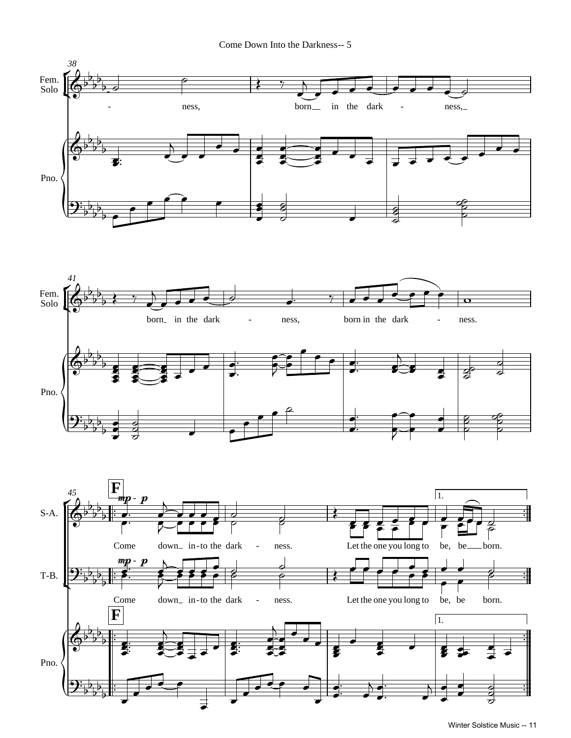![](_page_10_Figure_1.jpeg)

![](_page_10_Figure_2.jpeg)

![](_page_10_Figure_3.jpeg)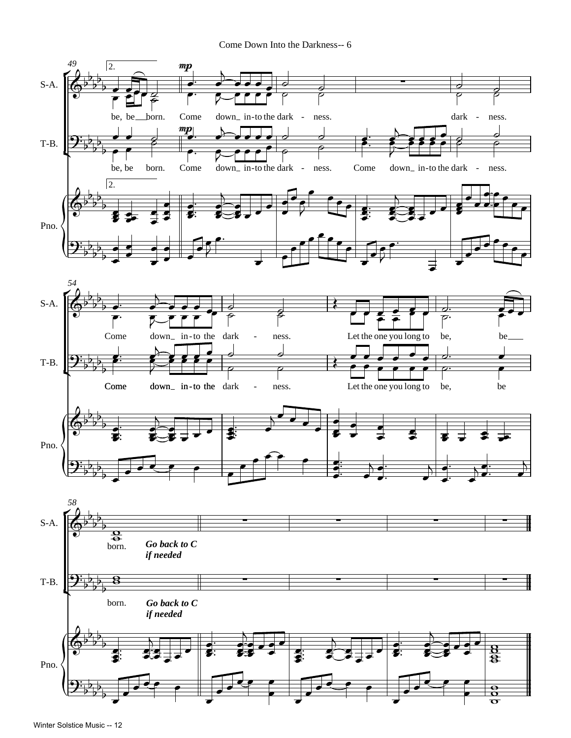![](_page_11_Figure_1.jpeg)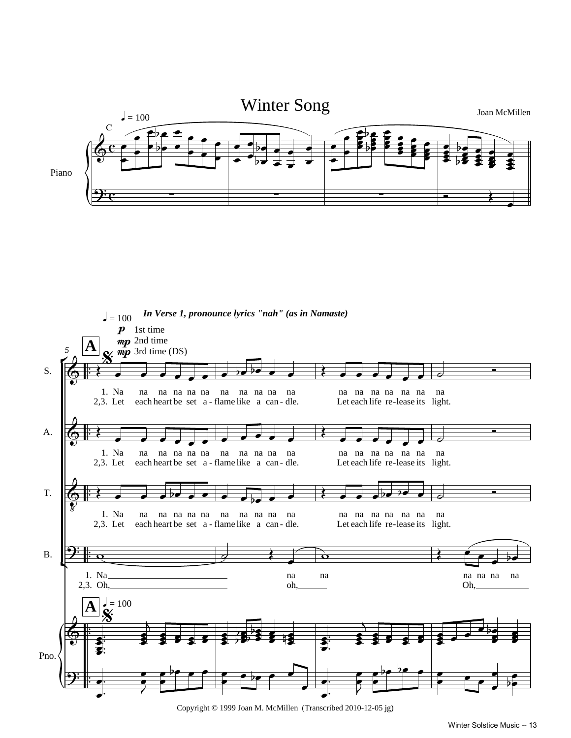![](_page_12_Figure_0.jpeg)

![](_page_12_Figure_1.jpeg)

Copyright © 1999 Joan M. McMillen (Transcribed 2010-12-05 jg)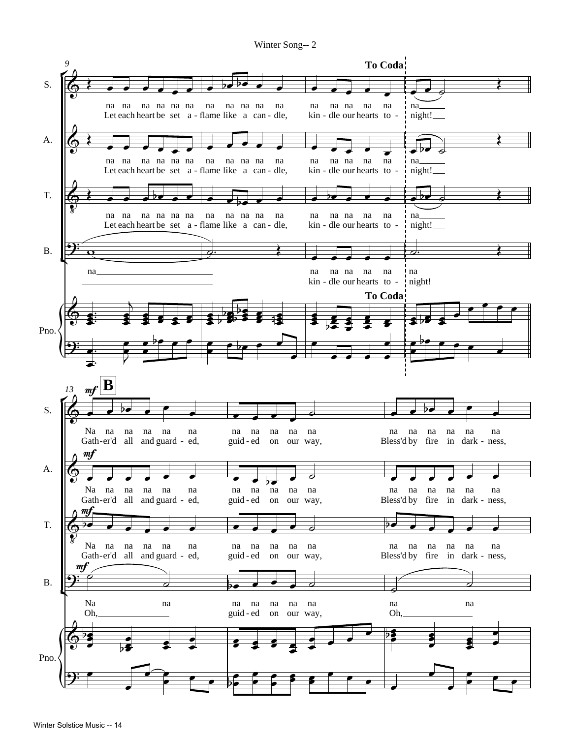Winter Song-- 2

![](_page_13_Figure_1.jpeg)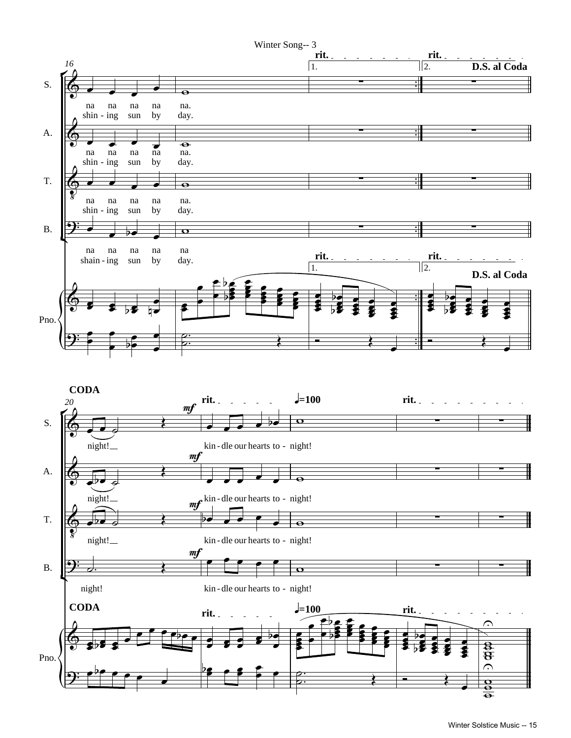![](_page_14_Figure_0.jpeg)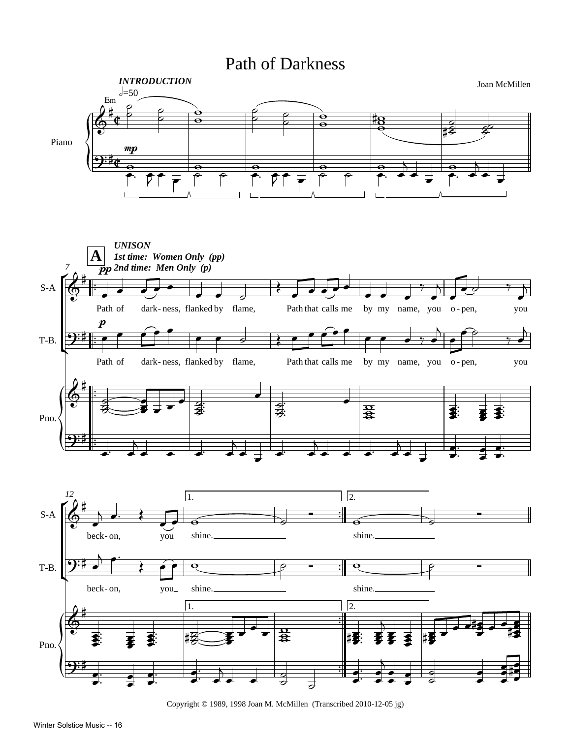![](_page_15_Figure_0.jpeg)

Copyright © 1989, 1998 Joan M. McMillen (Transcribed 2010-12-05 jg)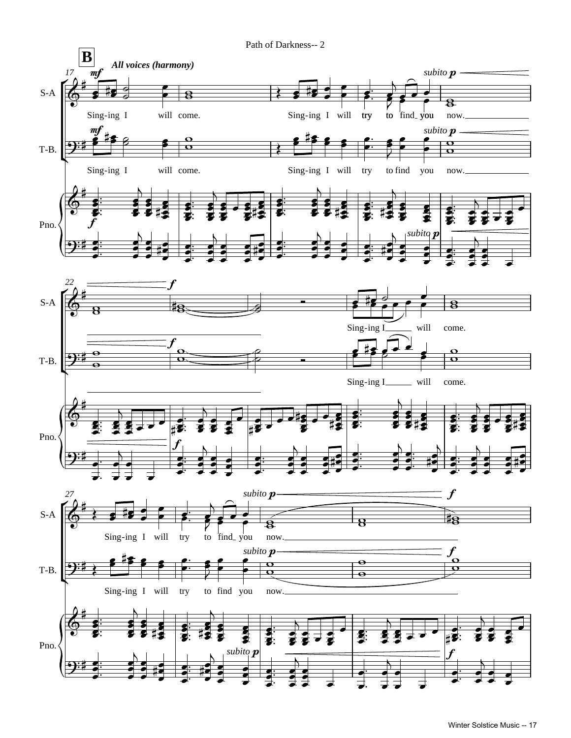![](_page_16_Figure_0.jpeg)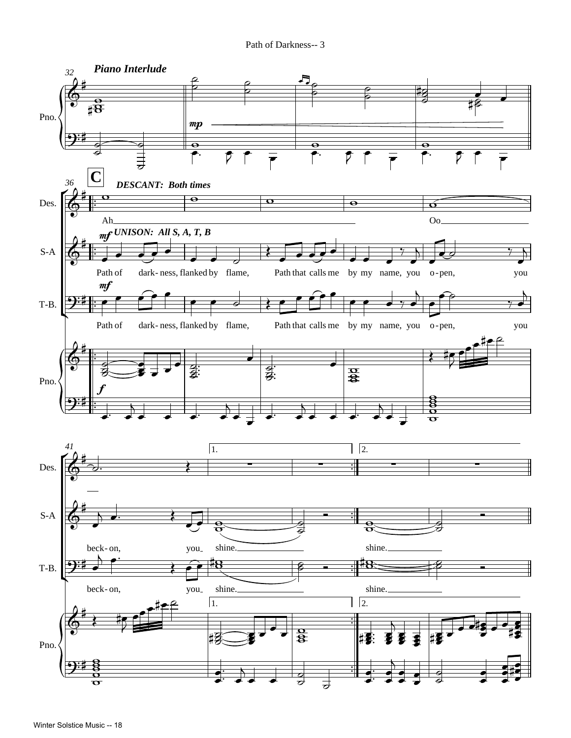![](_page_17_Figure_1.jpeg)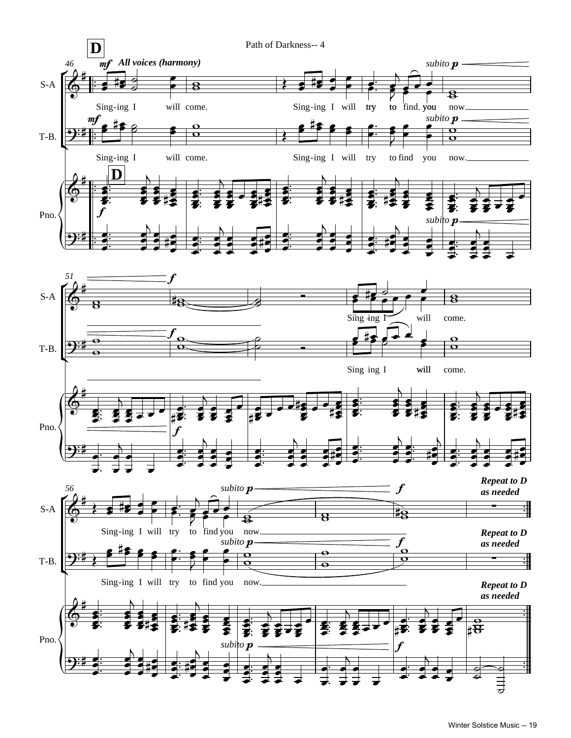![](_page_18_Figure_0.jpeg)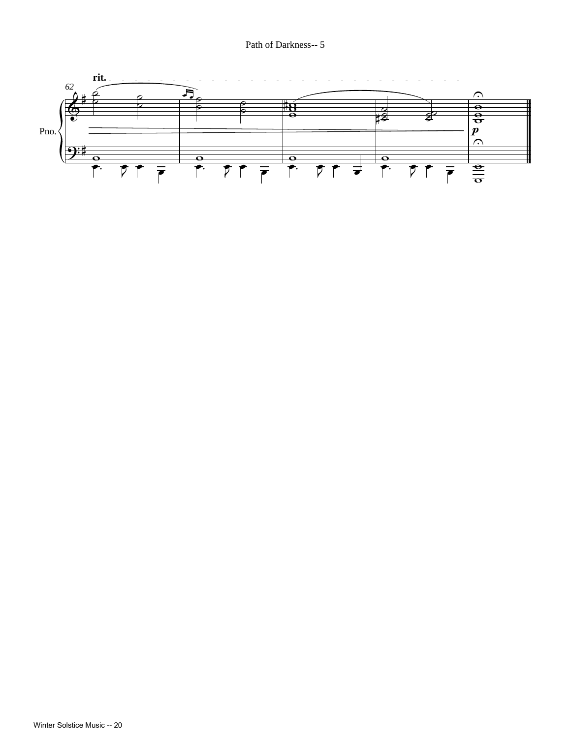![](_page_19_Figure_1.jpeg)